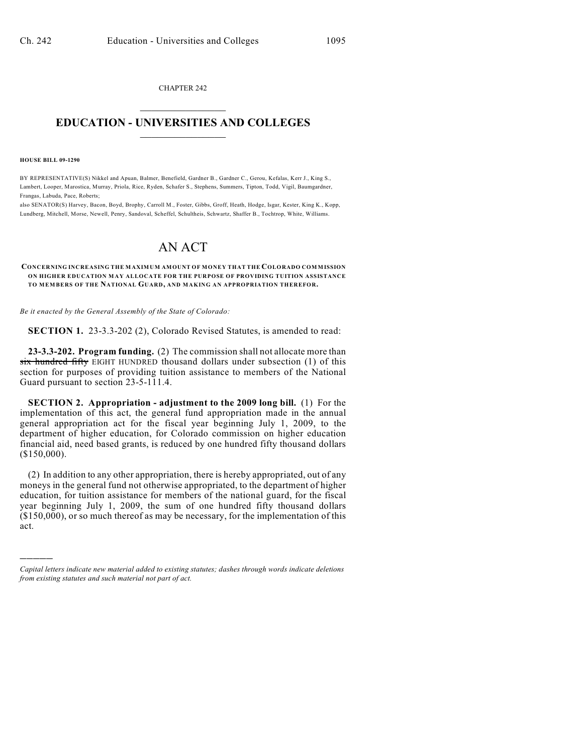CHAPTER 242  $\mathcal{L}_\text{max}$  . The set of the set of the set of the set of the set of the set of the set of the set of the set of the set of the set of the set of the set of the set of the set of the set of the set of the set of the set

## **EDUCATION - UNIVERSITIES AND COLLEGES**  $\frac{1}{2}$  ,  $\frac{1}{2}$  ,  $\frac{1}{2}$  ,  $\frac{1}{2}$  ,  $\frac{1}{2}$  ,  $\frac{1}{2}$  ,  $\frac{1}{2}$

**HOUSE BILL 09-1290**

)))))

BY REPRESENTATIVE(S) Nikkel and Apuan, Balmer, Benefield, Gardner B., Gardner C., Gerou, Kefalas, Kerr J., King S., Lambert, Looper, Marostica, Murray, Priola, Rice, Ryden, Schafer S., Stephens, Summers, Tipton, Todd, Vigil, Baumgardner, Frangas, Labuda, Pace, Roberts;

also SENATOR(S) Harvey, Bacon, Boyd, Brophy, Carroll M., Foster, Gibbs, Groff, Heath, Hodge, Isgar, Kester, King K., Kopp, Lundberg, Mitchell, Morse, Newell, Penry, Sandoval, Scheffel, Schultheis, Schwartz, Shaffer B., Tochtrop, White, Williams.

## AN ACT

**CONCERNING INCREASING THE MAXIMUM AMOUNT OF MONEY THAT THE COLORADO COMMISSION ON HIGHER EDUCATION MAY ALLOCATE FOR THE PURPOSE OF PROVIDING TUITION ASSISTANCE TO MEMBERS OF THE NATIONAL GUARD, AND MAKING AN APPROPRIATION THEREFOR.**

*Be it enacted by the General Assembly of the State of Colorado:*

**SECTION 1.** 23-3.3-202 (2), Colorado Revised Statutes, is amended to read:

**23-3.3-202. Program funding.** (2) The commission shall not allocate more than six hundred fifty EIGHT HUNDRED thousand dollars under subsection (1) of this section for purposes of providing tuition assistance to members of the National Guard pursuant to section 23-5-111.4.

**SECTION 2. Appropriation - adjustment to the 2009 long bill.** (1) For the implementation of this act, the general fund appropriation made in the annual general appropriation act for the fiscal year beginning July 1, 2009, to the department of higher education, for Colorado commission on higher education financial aid, need based grants, is reduced by one hundred fifty thousand dollars (\$150,000).

(2) In addition to any other appropriation, there is hereby appropriated, out of any moneys in the general fund not otherwise appropriated, to the department of higher education, for tuition assistance for members of the national guard, for the fiscal year beginning July 1, 2009, the sum of one hundred fifty thousand dollars  $($150,000)$ , or so much thereof as may be necessary, for the implementation of this act.

*Capital letters indicate new material added to existing statutes; dashes through words indicate deletions from existing statutes and such material not part of act.*